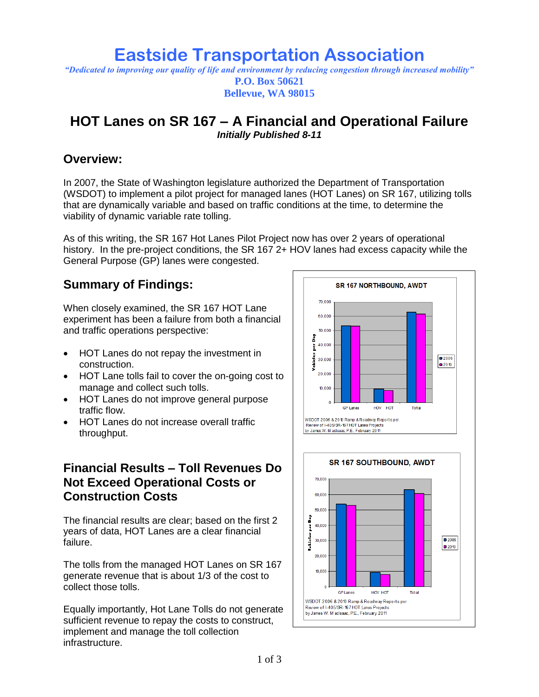# **Eastside Transportation Association**

*"Dedicated to improving our quality of life and environment by reducing congestion through increased mobility"* **P.O. Box 50621 Bellevue, WA 98015**

## **HOT Lanes on SR 167 – A Financial and Operational Failure** *Initially Published 8-11*

## **Overview:**

In 2007, the State of Washington legislature authorized the Department of Transportation (WSDOT) to implement a pilot project for managed lanes (HOT Lanes) on SR 167, utilizing tolls that are dynamically variable and based on traffic conditions at the time, to determine the viability of dynamic variable rate tolling.

As of this writing, the SR 167 Hot Lanes Pilot Project now has over 2 years of operational history. In the pre-project conditions, the SR 167 2+ HOV lanes had excess capacity while the General Purpose (GP) lanes were congested.

## **Summary of Findings:**

When closely examined, the SR 167 HOT Lane experiment has been a failure from both a financial and traffic operations perspective:

- HOT Lanes do not repay the investment in construction.
- HOT Lane tolls fail to cover the on-going cost to manage and collect such tolls.
- HOT Lanes do not improve general purpose traffic flow.
- HOT Lanes do not increase overall traffic throughput.

## **Financial Results – Toll Revenues Do Not Exceed Operational Costs or Construction Costs**

The financial results are clear; based on the first 2 years of data, HOT Lanes are a clear financial failure.

The tolls from the managed HOT Lanes on SR 167 generate revenue that is about 1/3 of the cost to collect those tolls.

Equally importantly, Hot Lane Tolls do not generate sufficient revenue to repay the costs to construct, implement and manage the toll collection infrastructure.

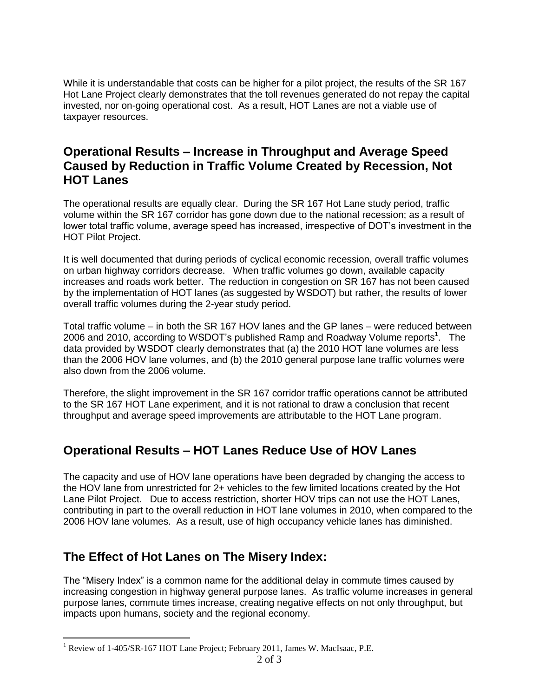While it is understandable that costs can be higher for a pilot project, the results of the SR 167 Hot Lane Project clearly demonstrates that the toll revenues generated do not repay the capital invested, nor on-going operational cost. As a result, HOT Lanes are not a viable use of taxpayer resources.

#### **Operational Results – Increase in Throughput and Average Speed Caused by Reduction in Traffic Volume Created by Recession, Not HOT Lanes**

The operational results are equally clear. During the SR 167 Hot Lane study period, traffic volume within the SR 167 corridor has gone down due to the national recession; as a result of lower total traffic volume, average speed has increased, irrespective of DOT's investment in the HOT Pilot Project.

It is well documented that during periods of cyclical economic recession, overall traffic volumes on urban highway corridors decrease. When traffic volumes go down, available capacity increases and roads work better. The reduction in congestion on SR 167 has not been caused by the implementation of HOT lanes (as suggested by WSDOT) but rather, the results of lower overall traffic volumes during the 2-year study period.

Total traffic volume – in both the SR 167 HOV lanes and the GP lanes – were reduced between 2006 and 2010, according to WSDOT's published Ramp and Roadway Volume reports<sup>1</sup>. The data provided by WSDOT clearly demonstrates that (a) the 2010 HOT lane volumes are less than the 2006 HOV lane volumes, and (b) the 2010 general purpose lane traffic volumes were also down from the 2006 volume.

Therefore, the slight improvement in the SR 167 corridor traffic operations cannot be attributed to the SR 167 HOT Lane experiment, and it is not rational to draw a conclusion that recent throughput and average speed improvements are attributable to the HOT Lane program.

## **Operational Results – HOT Lanes Reduce Use of HOV Lanes**

The capacity and use of HOV lane operations have been degraded by changing the access to the HOV lane from unrestricted for 2+ vehicles to the few limited locations created by the Hot Lane Pilot Project. Due to access restriction, shorter HOV trips can not use the HOT Lanes, contributing in part to the overall reduction in HOT lane volumes in 2010, when compared to the 2006 HOV lane volumes. As a result, use of high occupancy vehicle lanes has diminished.

## **The Effect of Hot Lanes on The Misery Index:**

 $\overline{a}$ 

The "Misery Index" is a common name for the additional delay in commute times caused by increasing congestion in highway general purpose lanes. As traffic volume increases in general purpose lanes, commute times increase, creating negative effects on not only throughput, but impacts upon humans, society and the regional economy.

<sup>&</sup>lt;sup>1</sup> Review of 1-405/SR-167 HOT Lane Project; February 2011, James W. MacIsaac, P.E.